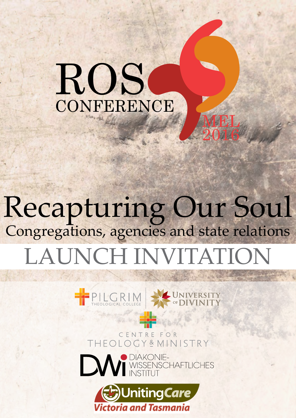# ROS **CONFERENCE**

# Recapturing Our Soul Congregations, agencies and state relations LAUNCH INVITATION

MEL

2016



ENTRE FO LOGY&MINISTRY THEO



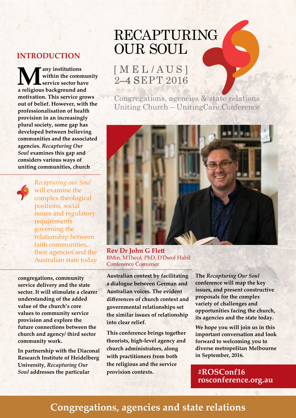## **INTRODUCTION**

**Many institutions a religious background and within the community service sector have motivation. This service grows out of belief. However, with the professionalisation of health provision in an increasingly plural society, some gap has developed between believing communities and the associated agencies.** *Recapturing Our Soul* **examines this gap and considers various ways of uniting communities, church** 



*Recapturing our Soul* will examine the complex theological positions, social issues and regulatory requirements governing the relationship between faith communities, their agencies and the Australian state today

**congregations, community service delivery and the state sector. It will stimulate a clearer understanding of the added value of the church's core values to community service provision and explore the future connections between the church and agency/ third sector community work.**

**In partnership with the Diaconal Research Institute of Heidelberg University,** *Recapturing Our Soul* **addresses the particular** 

# RECAPTURING OUR SOUL

# [ M E L / A U S ] 2–4 SEPT 2016

Congregations, agencies & state relations Uniting Church – UnitingCare Conference



**Rev Dr John G Flett** BMin, MTheol, PhD, DTheol Habil Conference Convener

**Australian context by facilitating a dialogue between German and Australian voices. The evident differences of church context and governmental relationships set the similar issues of relationship into clear relief.** 

**This conference brings together theorists, high-level agency and church administrators, along with practitioners from both the religious and the service provision contexts.** 

**The** *Recapturing Our Soul* **conference will map the key issues, and present constructive proposals for the complex variety of challenges and opportunities facing the church, its agencies and the state today.** 

**We hope you will join us in this important conversation and look forward to welcoming you to diverse metropolitan Melbourne in September, 2016.** 

**#ROSConf16 [rosconference.org.au](http://www.rosconference.org.au)**

# **Congregations, agencies and state relations**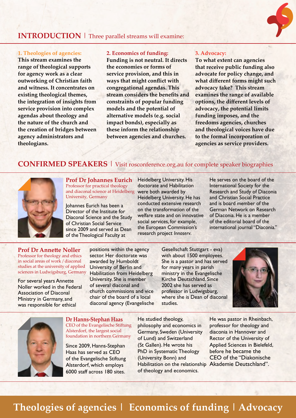### **INTRODUCTION** | Three parallel streams will examine:

#### **1. Theologies of agencies:**

**This stream examines the range of theological supports for agency work as a clear outworking of Christian faith and witness. It concentrates on existing theological themes, the integration of insights from service provision into complex agendas about theology and the nature of the church and the creation of bridges between agency administrators and theologians.** 

#### **2. Economics of funding:**

**Funding is not neutral. It directs the economies or forms of service provision, and this in ways that might conflict with congregational agendas. This stream considers the benefits and constraints of popular funding models and the potential of alternative models (e.g. social impact bonds), especially as these inform the relationship between agencies and churches.**

#### **3. Advocacy:**

**To what extent can agencies that receive public funding also advocate for policy change, and what different forms might such advocacy take? This stream examines the range of available options, the different levels of advocacy, the potential limits funding imposes, and the freedoms agencies, churches and theological voices have due to the formal incorporation of agencies as service providers.** 

## **CONFIRMED SPEAKERS** | Visit [rosconference.org.au](http://www.rosconference.org.au) for complete speaker biographies



**Prof Dr Johannes Eurich** Professor for practical theology and diaconal science at Heidelberg University, Germany

Johannes Eurich has been a Director of the Institute for Diaconal Science and the Study of Christian Social Service since 2009 and served as Dean of the Theological Faculty at

Heidelberg University. His doctorate and Habilitation were both awarded by Heidelberg University. He has conducted extensive research on the transformation of the welfare state and on innovative social services, for example, the European Commission's research project *Innoserv*.

He serves on the board of the International Society for the Research and Study of Diaconia and Christian Social Practice and is board member of the German Network on Research of Diaconia. He is a member of the editorial board of the international journal "Diaconia."

**Prof Dr Annette Noller** Professor for theology and ethics in social areas of work / diaconal studies at the university of applied sciences in Ludwigsburg, Germany

For several years Annette Noller worked in the Federal Association of Diaconal Ministry in Germany, and was responsible for ethical

positions within the agency sector. Her doctorate was awarded by Humboldt University of Berlin and Habilitation from Heidelberg University. She is member of several diaconal and church commissions and vice chair of the board of a local diaconal agency (Evangelische

Gesellschaft Stuttgart - eva) with about 1500 employees. She is a pastor and has served for many years in parish ministry in the Evangelische Kirche Deutschland. Since 2002 she has served as professor in Ludwigsburg, where she is Dean of diaconal studies.





**Dr Hanns-Stephan Haas** CEO of the Evangelische Stiftung Alsterdorf, the largest social foundation in northern Germany

Since 2009, Hanns-Stephan Haas has served as CEO of the Evangelische Stiftung Alsterdorf, which employs 6000 staff across 180 sites.

Habilitation on the relationship Akademie Deutschland". He studied theology, philosophy and economics in Germany, Sweden (University of Lund) and Switzerland (St Gallen). He wrote his PhD in Systematic Theology (University Bonn) and of theology and economics.

He was pastor in Rheinbach, professor for theology and diaconia in Hannover and Rector of the University of Applied Sciences in Bielefeld, before he became the CEO of the "Diakonische